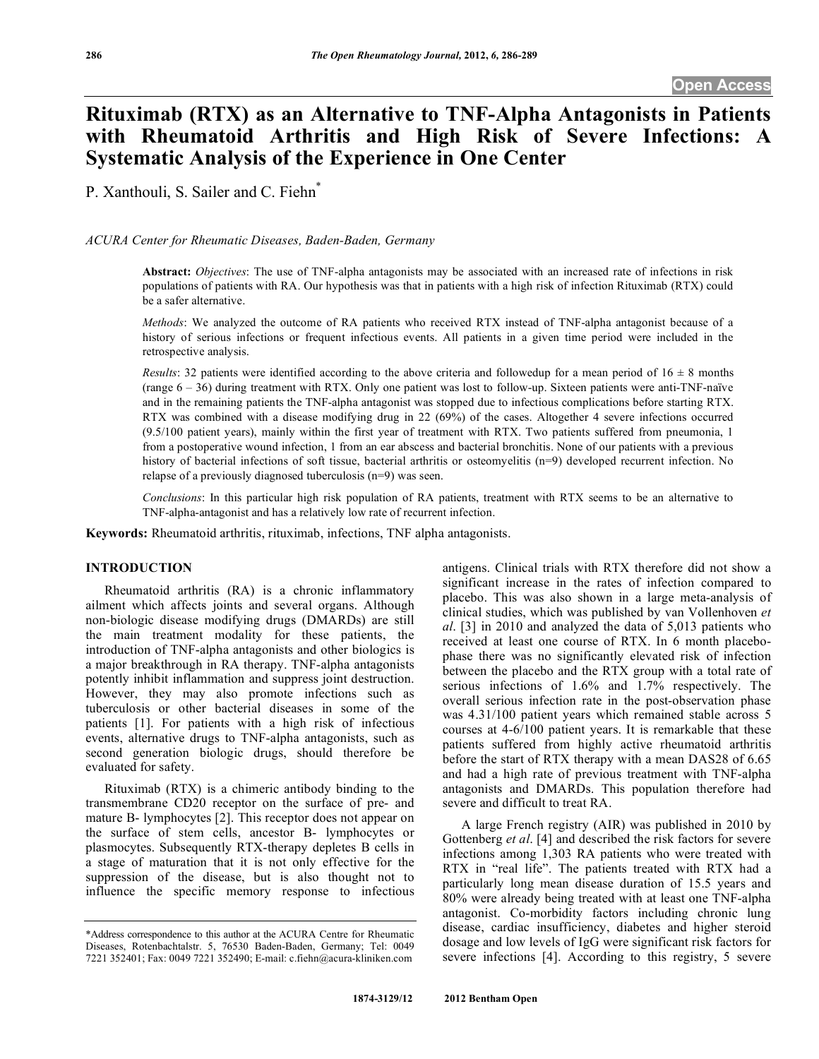# **Rituximab (RTX) as an Alternative to TNF-Alpha Antagonists in Patients with Rheumatoid Arthritis and High Risk of Severe Infections: A Systematic Analysis of the Experience in One Center**

P. Xanthouli, S. Sailer and C. Fiehn\*

*ACURA Center for Rheumatic Diseases, Baden-Baden, Germany* 

**Abstract:** *Objectives*: The use of TNF-alpha antagonists may be associated with an increased rate of infections in risk populations of patients with RA. Our hypothesis was that in patients with a high risk of infection Rituximab (RTX) could be a safer alternative.

*Methods*: We analyzed the outcome of RA patients who received RTX instead of TNF-alpha antagonist because of a history of serious infections or frequent infectious events. All patients in a given time period were included in the retrospective analysis.

*Results*: 32 patients were identified according to the above criteria and followedup for a mean period of  $16 \pm 8$  months (range  $6 - 36$ ) during treatment with RTX. Only one patient was lost to follow-up. Sixteen patients were anti-TNF-naïve and in the remaining patients the TNF-alpha antagonist was stopped due to infectious complications before starting RTX. RTX was combined with a disease modifying drug in 22 (69%) of the cases. Altogether 4 severe infections occurred (9.5/100 patient years), mainly within the first year of treatment with RTX. Two patients suffered from pneumonia, 1 from a postoperative wound infection, 1 from an ear abscess and bacterial bronchitis. None of our patients with a previous history of bacterial infections of soft tissue, bacterial arthritis or osteomyelitis (n=9) developed recurrent infection. No relapse of a previously diagnosed tuberculosis (n=9) was seen.

*Conclusions*: In this particular high risk population of RA patients, treatment with RTX seems to be an alternative to TNF-alpha-antagonist and has a relatively low rate of recurrent infection.

**Keywords:** Rheumatoid arthritis, rituximab, infections, TNF alpha antagonists.

# **INTRODUCTION**

 Rheumatoid arthritis (RA) is a chronic inflammatory ailment which affects joints and several organs. Although non-biologic disease modifying drugs (DMARDs) are still the main treatment modality for these patients, the introduction of TNF-alpha antagonists and other biologics is a major breakthrough in RA therapy. TNF-alpha antagonists potently inhibit inflammation and suppress joint destruction. However, they may also promote infections such as tuberculosis or other bacterial diseases in some of the patients [1]. For patients with a high risk of infectious events, alternative drugs to TNF-alpha antagonists, such as second generation biologic drugs, should therefore be evaluated for safety.

 Rituximab (RTX) is a chimeric antibody binding to the transmembrane CD20 receptor on the surface of pre- and mature B- lymphocytes [2]. This receptor does not appear on the surface of stem cells, ancestor B- lymphocytes or plasmocytes. Subsequently RTX-therapy depletes B cells in a stage of maturation that it is not only effective for the suppression of the disease, but is also thought not to influence the specific memory response to infectious

antigens. Clinical trials with RTX therefore did not show a significant increase in the rates of infection compared to placebo. This was also shown in a large meta-analysis of clinical studies, which was published by van Vollenhoven *et al*. [3] in 2010 and analyzed the data of 5,013 patients who received at least one course of RTX. In 6 month placebophase there was no significantly elevated risk of infection between the placebo and the RTX group with a total rate of serious infections of 1.6% and 1.7% respectively. The overall serious infection rate in the post-observation phase was 4.31/100 patient years which remained stable across 5 courses at 4-6/100 patient years. It is remarkable that these patients suffered from highly active rheumatoid arthritis before the start of RTX therapy with a mean DAS28 of 6.65 and had a high rate of previous treatment with TNF-alpha antagonists and DMARDs. This population therefore had severe and difficult to treat RA.

 A large French registry (AIR) was published in 2010 by Gottenberg *et al*. [4] and described the risk factors for severe infections among 1,303 RA patients who were treated with RTX in "real life". The patients treated with RTX had a particularly long mean disease duration of 15.5 years and 80% were already being treated with at least one TNF-alpha antagonist. Co-morbidity factors including chronic lung disease, cardiac insufficiency, diabetes and higher steroid dosage and low levels of IgG were significant risk factors for severe infections [4]. According to this registry, 5 severe

<sup>\*</sup>Address correspondence to this author at the ACURA Centre for Rheumatic Diseases, Rotenbachtalstr. 5, 76530 Baden-Baden, Germany; Tel: 0049 7221 352401; Fax: 0049 7221 352490; E-mail: c.fiehn@acura-kliniken.com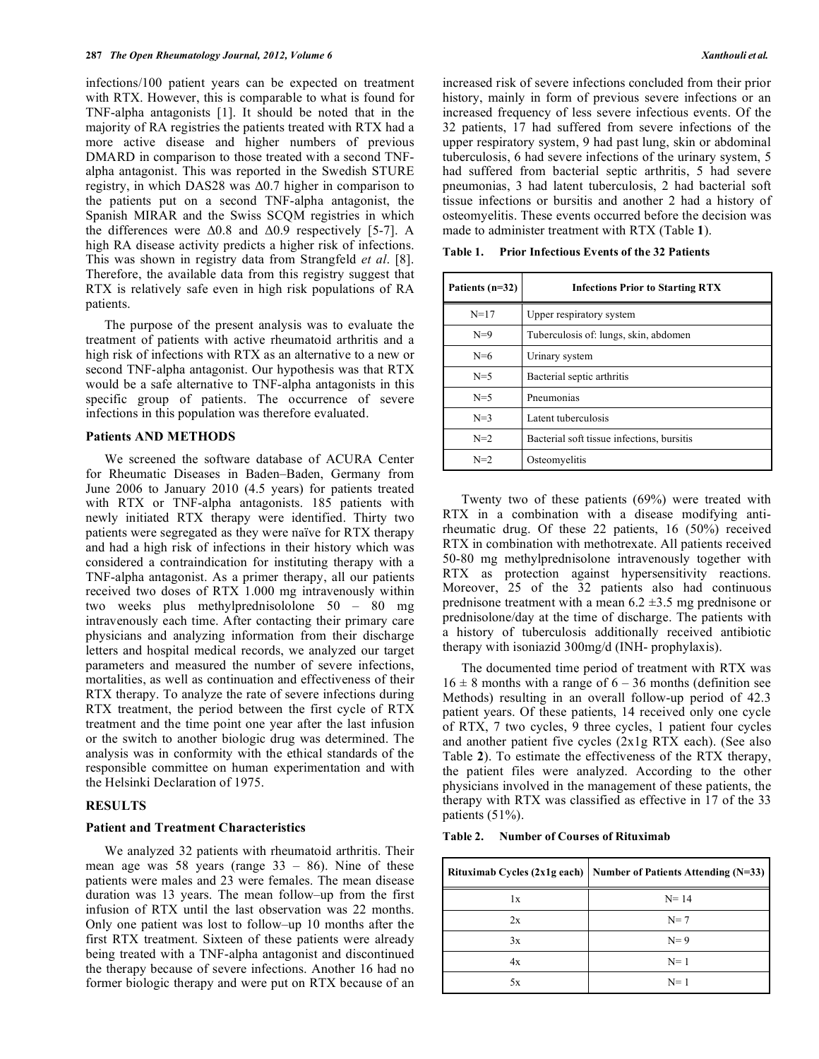infections/100 patient years can be expected on treatment with RTX. However, this is comparable to what is found for TNF-alpha antagonists [1]. It should be noted that in the majority of RA registries the patients treated with RTX had a more active disease and higher numbers of previous DMARD in comparison to those treated with a second TNFalpha antagonist. This was reported in the Swedish STURE registry, in which DAS28 was  $\Delta 0.7$  higher in comparison to the patients put on a second TNF-alpha antagonist, the Spanish MIRAR and the Swiss SCQM registries in which the differences were  $\Delta 0.8$  and  $\Delta 0.9$  respectively [5-7]. A high RA disease activity predicts a higher risk of infections. This was shown in registry data from Strangfeld *et al*. [8]. Therefore, the available data from this registry suggest that RTX is relatively safe even in high risk populations of RA patients.

 The purpose of the present analysis was to evaluate the treatment of patients with active rheumatoid arthritis and a high risk of infections with RTX as an alternative to a new or second TNF-alpha antagonist. Our hypothesis was that RTX would be a safe alternative to TNF-alpha antagonists in this specific group of patients. The occurrence of severe infections in this population was therefore evaluated.

#### **Patients AND METHODS**

 We screened the software database of ACURA Center for Rheumatic Diseases in Baden–Baden, Germany from June 2006 to January 2010 (4.5 years) for patients treated with RTX or TNF-alpha antagonists. 185 patients with newly initiated RTX therapy were identified. Thirty two patients were segregated as they were naïve for RTX therapy and had a high risk of infections in their history which was considered a contraindication for instituting therapy with a TNF-alpha antagonist. As a primer therapy, all our patients received two doses of RTX 1.000 mg intravenously within two weeks plus methylprednisololone 50 – 80 mg intravenously each time. After contacting their primary care physicians and analyzing information from their discharge letters and hospital medical records, we analyzed our target parameters and measured the number of severe infections, mortalities, as well as continuation and effectiveness of their RTX therapy. To analyze the rate of severe infections during RTX treatment, the period between the first cycle of RTX treatment and the time point one year after the last infusion or the switch to another biologic drug was determined. The analysis was in conformity with the ethical standards of the responsible committee on human experimentation and with the Helsinki Declaration of 1975.

# **RESULTS**

# **Patient and Treatment Characteristics**

 We analyzed 32 patients with rheumatoid arthritis. Their mean age was 58 years (range  $33 - 86$ ). Nine of these patients were males and 23 were females. The mean disease duration was 13 years. The mean follow–up from the first infusion of RTX until the last observation was 22 months. Only one patient was lost to follow–up 10 months after the first RTX treatment. Sixteen of these patients were already being treated with a TNF-alpha antagonist and discontinued the therapy because of severe infections. Another 16 had no former biologic therapy and were put on RTX because of an

increased risk of severe infections concluded from their prior history, mainly in form of previous severe infections or an increased frequency of less severe infectious events. Of the 32 patients, 17 had suffered from severe infections of the upper respiratory system, 9 had past lung, skin or abdominal tuberculosis, 6 had severe infections of the urinary system, 5 had suffered from bacterial septic arthritis, 5 had severe pneumonias, 3 had latent tuberculosis, 2 had bacterial soft tissue infections or bursitis and another 2 had a history of osteomyelitis. These events occurred before the decision was made to administer treatment with RTX (Table **1**).

**Table 1. Prior Infectious Events of the 32 Patients** 

| Patients $(n=32)$ | <b>Infections Prior to Starting RTX</b>    |  |  |
|-------------------|--------------------------------------------|--|--|
| $N = 17$          | Upper respiratory system                   |  |  |
| $N=9$             | Tuberculosis of: lungs, skin, abdomen      |  |  |
| $N=6$             | Urinary system                             |  |  |
| $N=5$             | Bacterial septic arthritis                 |  |  |
| $N=5$             | Pneumonias                                 |  |  |
| $N=3$             | Latent tuberculosis                        |  |  |
| $N=2$             | Bacterial soft tissue infections, bursitis |  |  |
| $N=2$             | Osteomyelitis                              |  |  |

 Twenty two of these patients (69%) were treated with RTX in a combination with a disease modifying antirheumatic drug. Of these 22 patients, 16 (50%) received RTX in combination with methotrexate. All patients received 50-80 mg methylprednisolone intravenously together with RTX as protection against hypersensitivity reactions. Moreover, 25 of the 32 patients also had continuous prednisone treatment with a mean  $6.2 \pm 3.5$  mg prednisone or prednisolone/day at the time of discharge. The patients with a history of tuberculosis additionally received antibiotic therapy with isoniazid 300mg/d (INH- prophylaxis).

 The documented time period of treatment with RTX was  $16 \pm 8$  months with a range of  $6 - 36$  months (definition see Methods) resulting in an overall follow-up period of 42.3 patient years. Of these patients, 14 received only one cycle of RTX, 7 two cycles, 9 three cycles, 1 patient four cycles and another patient five cycles (2x1g RTX each). (See also Table **2**). To estimate the effectiveness of the RTX therapy, the patient files were analyzed. According to the other physicians involved in the management of these patients, the therapy with RTX was classified as effective in 17 of the 33 patients (51%).

**Table 2. Number of Courses of Rituximab** 

|    | Rituximab Cycles (2x1g each)   Number of Patients Attending (N=33) |  |  |
|----|--------------------------------------------------------------------|--|--|
| 1x | $N = 14$                                                           |  |  |
| 2x | $N=7$                                                              |  |  |
| 3x | $N=9$                                                              |  |  |
| 4x | $N=1$                                                              |  |  |
| 5x | $N=1$                                                              |  |  |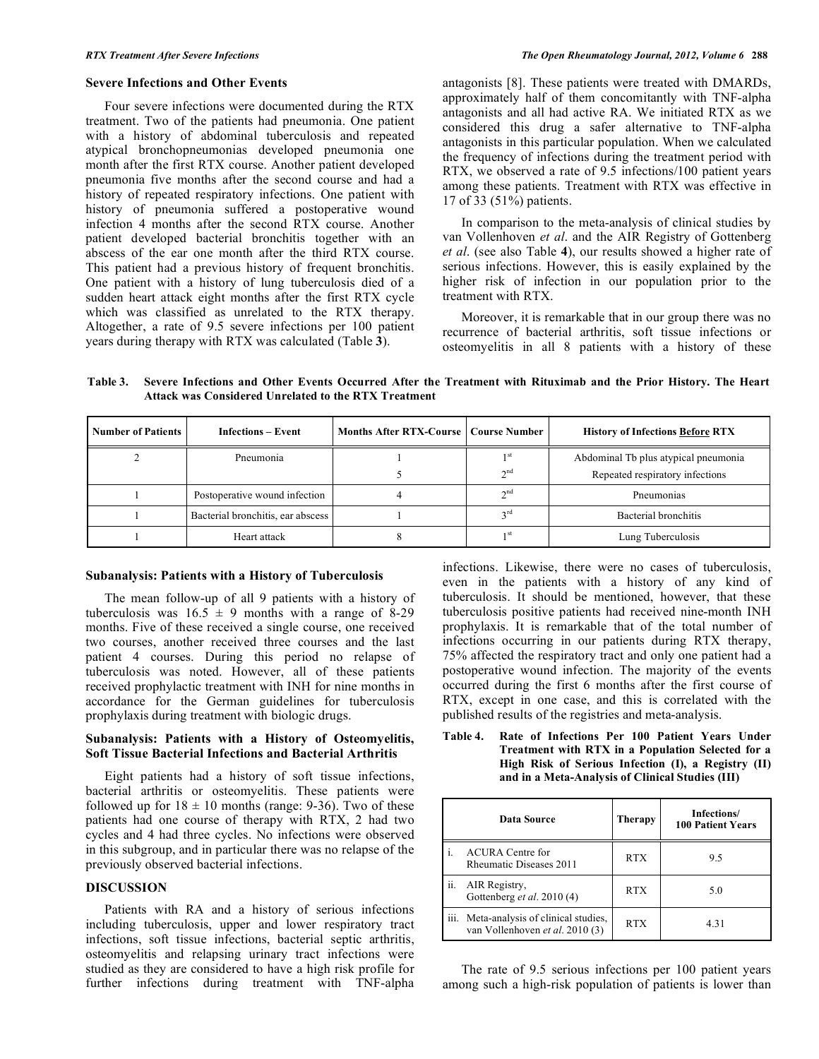## **Severe Infections and Other Events**

 Four severe infections were documented during the RTX treatment. Two of the patients had pneumonia. One patient with a history of abdominal tuberculosis and repeated atypical bronchopneumonias developed pneumonia one month after the first RTX course. Another patient developed pneumonia five months after the second course and had a history of repeated respiratory infections. One patient with history of pneumonia suffered a postoperative wound infection 4 months after the second RTX course. Another patient developed bacterial bronchitis together with an abscess of the ear one month after the third RTX course. This patient had a previous history of frequent bronchitis. One patient with a history of lung tuberculosis died of a sudden heart attack eight months after the first RTX cycle which was classified as unrelated to the RTX therapy. Altogether, a rate of 9.5 severe infections per 100 patient years during therapy with RTX was calculated (Table **3**).

antagonists [8]. These patients were treated with DMARDs, approximately half of them concomitantly with TNF-alpha antagonists and all had active RA. We initiated RTX as we considered this drug a safer alternative to TNF-alpha antagonists in this particular population. When we calculated the frequency of infections during the treatment period with RTX, we observed a rate of 9.5 infections/100 patient years among these patients. Treatment with RTX was effective in 17 of 33 (51%) patients.

 In comparison to the meta-analysis of clinical studies by van Vollenhoven *et al*. and the AIR Registry of Gottenberg *et al*. (see also Table **4**), our results showed a higher rate of serious infections. However, this is easily explained by the higher risk of infection in our population prior to the treatment with RTX.

 Moreover, it is remarkable that in our group there was no recurrence of bacterial arthritis, soft tissue infections or osteomyelitis in all 8 patients with a history of these

**Table 3. Severe Infections and Other Events Occurred After the Treatment with Rituximab and the Prior History. The Heart Attack was Considered Unrelated to the RTX Treatment** 

| <b>Number of Patients</b> | <b>Infections – Event</b>         | Months After RTX-Course   Course Number |                                    | <b>History of Infections Before RTX</b>                                 |
|---------------------------|-----------------------------------|-----------------------------------------|------------------------------------|-------------------------------------------------------------------------|
|                           | Pneumonia                         |                                         | 1 <sup>st</sup><br>2 <sub>nd</sub> | Abdominal Tb plus atypical pneumonia<br>Repeated respiratory infections |
|                           | Postoperative wound infection     |                                         | 2 <sub>nd</sub>                    | Pneumonias                                                              |
|                           | Bacterial bronchitis, ear abscess |                                         | $\gamma$ rd                        | Bacterial bronchitis                                                    |
|                           | Heart attack                      |                                         | 1 <sup>st</sup>                    | Lung Tuberculosis                                                       |

#### **Subanalysis: Patients with a History of Tuberculosis**

 The mean follow-up of all 9 patients with a history of tuberculosis was  $16.5 \pm 9$  months with a range of 8-29 months. Five of these received a single course, one received two courses, another received three courses and the last patient 4 courses. During this period no relapse of tuberculosis was noted. However, all of these patients received prophylactic treatment with INH for nine months in accordance for the German guidelines for tuberculosis prophylaxis during treatment with biologic drugs.

# **Subanalysis: Patients with a History of Osteomyelitis, Soft Tissue Bacterial Infections and Bacterial Arthritis**

 Eight patients had a history of soft tissue infections, bacterial arthritis or osteomyelitis. These patients were followed up for  $18 \pm 10$  months (range: 9-36). Two of these patients had one course of therapy with RTX, 2 had two cycles and 4 had three cycles. No infections were observed in this subgroup, and in particular there was no relapse of the previously observed bacterial infections.

# **DISCUSSION**

 Patients with RA and a history of serious infections including tuberculosis, upper and lower respiratory tract infections, soft tissue infections, bacterial septic arthritis, osteomyelitis and relapsing urinary tract infections were studied as they are considered to have a high risk profile for further infections during treatment with TNF-alpha infections. Likewise, there were no cases of tuberculosis, even in the patients with a history of any kind of tuberculosis. It should be mentioned, however, that these tuberculosis positive patients had received nine-month INH prophylaxis. It is remarkable that of the total number of infections occurring in our patients during RTX therapy, 75% affected the respiratory tract and only one patient had a postoperative wound infection. The majority of the events occurred during the first 6 months after the first course of RTX, except in one case, and this is correlated with the published results of the registries and meta-analysis.

**Table 4. Rate of Infections Per 100 Patient Years Under Treatment with RTX in a Population Selected for a High Risk of Serious Infection (I), a Registry (II) and in a Meta-Analysis of Clinical Studies (III)** 

| Data Source |                                                                            | Therapy    | Infections/<br><b>100 Patient Years</b> |
|-------------|----------------------------------------------------------------------------|------------|-----------------------------------------|
|             | <b>ACURA</b> Centre for<br><b>Rheumatic Diseases 2011</b>                  | <b>RTX</b> | 9.5                                     |
| ii.         | AIR Registry,<br>Gottenberg et al. 2010 (4)                                | <b>RTX</b> | 5.0                                     |
|             | iii. Meta-analysis of clinical studies,<br>van Vollenhoven et al. 2010 (3) | <b>RTX</b> | 4.31                                    |

 The rate of 9.5 serious infections per 100 patient years among such a high-risk population of patients is lower than